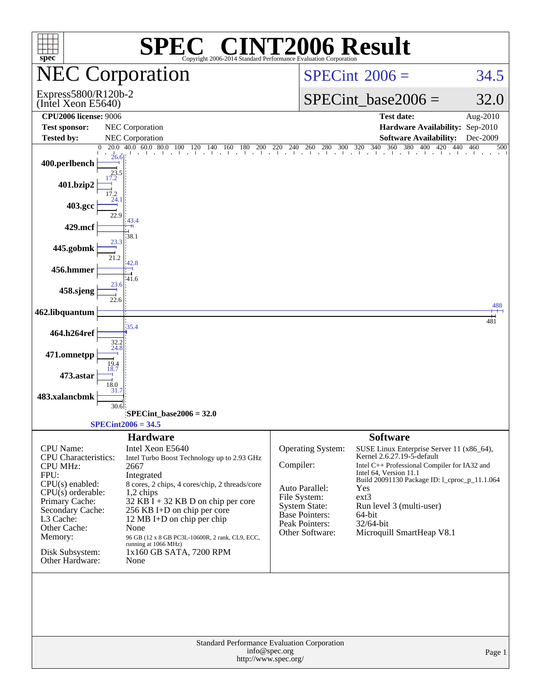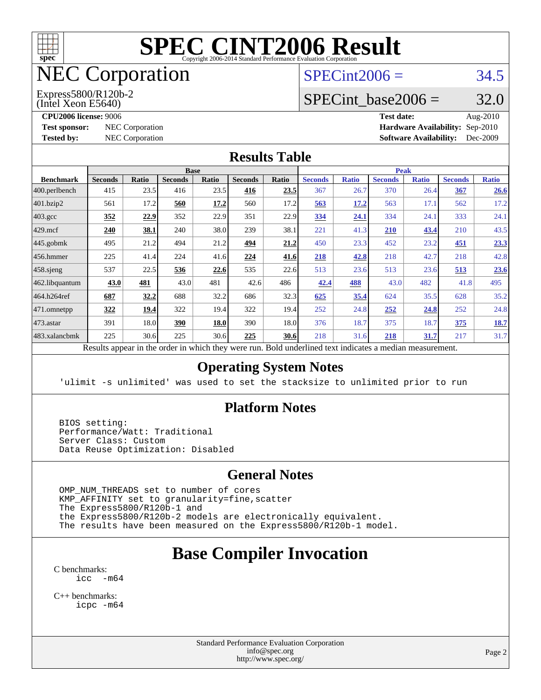

# NEC Corporation

(Intel Xeon E5640) Express5800/R120b-2  $SPECint2006 = 34.5$  $SPECint2006 = 34.5$ 

# SPECint base2006 =  $32.0$

**[CPU2006 license:](http://www.spec.org/auto/cpu2006/Docs/result-fields.html#CPU2006license)** 9006 **[Test date:](http://www.spec.org/auto/cpu2006/Docs/result-fields.html#Testdate)** Aug-2010 **[Test sponsor:](http://www.spec.org/auto/cpu2006/Docs/result-fields.html#Testsponsor)** NEC Corporation **NEC Corporation [Hardware Availability:](http://www.spec.org/auto/cpu2006/Docs/result-fields.html#HardwareAvailability)** Sep-2010 **[Tested by:](http://www.spec.org/auto/cpu2006/Docs/result-fields.html#Testedby)** NEC Corporation **[Software Availability:](http://www.spec.org/auto/cpu2006/Docs/result-fields.html#SoftwareAvailability)** Dec-2009

#### **[Results Table](http://www.spec.org/auto/cpu2006/Docs/result-fields.html#ResultsTable)**

| <b>Base</b>    |       |                |              |                |       | <b>Peak</b>    |              |                |              |                |              |
|----------------|-------|----------------|--------------|----------------|-------|----------------|--------------|----------------|--------------|----------------|--------------|
| <b>Seconds</b> | Ratio | <b>Seconds</b> | <b>Ratio</b> | <b>Seconds</b> | Ratio | <b>Seconds</b> | <b>Ratio</b> | <b>Seconds</b> | <b>Ratio</b> | <b>Seconds</b> | <b>Ratio</b> |
| 415            | 23.5  | 416            | 23.5         | 416            | 23.5  | 367            | 26.7         | 370            | 26.4         | 367            | 26.6         |
| 561            | 17.2  | 560            | 17.2         | 560            | 17.2  | 563            | 17.2         | 563            | 17.1         | 562            | 17.2         |
| 352            | 22.9  | 352            | 22.9         | 351            | 22.9  | 334            | 24.1         | 334            | 24.1         | 333            | 24.1         |
| 240            | 38.1  | 240            | 38.0         | 239            | 38.1  | 221            | 41.3         | 210            | 43.4         | 210            | 43.5         |
| 495            | 21.2  | 494            | 21.2         | 494            | 21.2  | 450            | 23.3         | 452            | 23.2         | 451            | 23.3         |
| 225            | 41.4  | 224            | 41.6         | 224            | 41.6  | 218            | 42.8         | 218            | 42.7         | 218            | 42.8         |
| 537            | 22.5  | 536            | 22.6         | 535            | 22.6  | 513            | 23.6         | 513            | 23.6         | 513            | 23.6         |
| 43.0           | 481   | 43.0           | 481          | 42.6           | 486   | 42.4           | 488          | 43.0           | 482          | 41.8           | 495          |
| 687            | 32.2  | 688            | 32.2         | 686            | 32.3  | 625            | 35.4         | 624            | 35.5         | 628            | 35.2         |
| 322            | 19.4  | 322            | 19.4         | 322            | 19.4  | 252            |              | 252            | 24.8         | 252            | 24.8         |
| 391            | 18.0  | 390            | 18.0         | 390            | 18.0  | 376            | 18.7         | 375            | 18.7         | 375            | <u>18.7</u>  |
| 225            | 30.6  | 225            |              | 225            | 30.6  | 218            |              | 218            | <u>31.7</u>  | 217            | 31.7         |
|                |       |                |              |                | 30.6  |                |              |                | 24.8<br>31.6 |                |              |

Results appear in the [order in which they were run.](http://www.spec.org/auto/cpu2006/Docs/result-fields.html#RunOrder) Bold underlined text [indicates a median measurement.](http://www.spec.org/auto/cpu2006/Docs/result-fields.html#Median)

#### **[Operating System Notes](http://www.spec.org/auto/cpu2006/Docs/result-fields.html#OperatingSystemNotes)**

'ulimit -s unlimited' was used to set the stacksize to unlimited prior to run

#### **[Platform Notes](http://www.spec.org/auto/cpu2006/Docs/result-fields.html#PlatformNotes)**

 BIOS setting: Performance/Watt: Traditional Server Class: Custom Data Reuse Optimization: Disabled

#### **[General Notes](http://www.spec.org/auto/cpu2006/Docs/result-fields.html#GeneralNotes)**

 OMP\_NUM\_THREADS set to number of cores KMP\_AFFINITY set to granularity=fine,scatter The Express5800/R120b-1 and the Express5800/R120b-2 models are electronically equivalent. The results have been measured on the Express5800/R120b-1 model.

# **[Base Compiler Invocation](http://www.spec.org/auto/cpu2006/Docs/result-fields.html#BaseCompilerInvocation)**

[C benchmarks](http://www.spec.org/auto/cpu2006/Docs/result-fields.html#Cbenchmarks): [icc -m64](http://www.spec.org/cpu2006/results/res2010q3/cpu2006-20100829-13108.flags.html#user_CCbase_intel_icc_64bit_f346026e86af2a669e726fe758c88044)

[C++ benchmarks:](http://www.spec.org/auto/cpu2006/Docs/result-fields.html#CXXbenchmarks) [icpc -m64](http://www.spec.org/cpu2006/results/res2010q3/cpu2006-20100829-13108.flags.html#user_CXXbase_intel_icpc_64bit_fc66a5337ce925472a5c54ad6a0de310)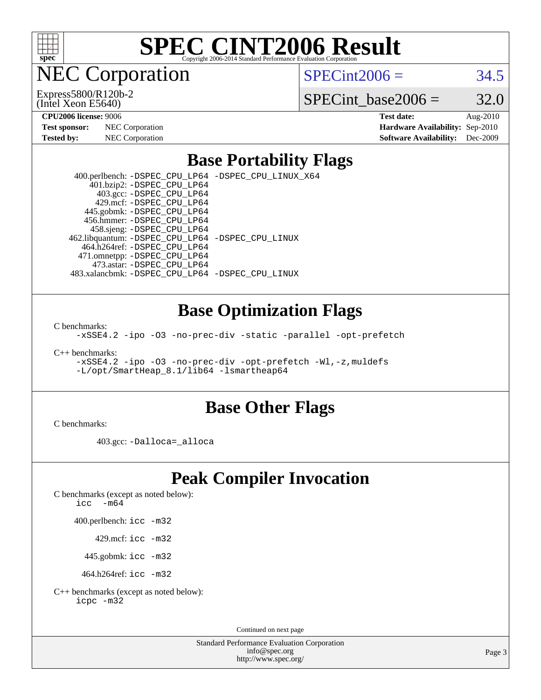

NEC Corporation

(Intel Xeon E5640) Express5800/R120b-2  $SPECint2006 = 34.5$  $SPECint2006 = 34.5$ 

SPECint base2006 =  $32.0$ 

**[CPU2006 license:](http://www.spec.org/auto/cpu2006/Docs/result-fields.html#CPU2006license)** 9006 **[Test date:](http://www.spec.org/auto/cpu2006/Docs/result-fields.html#Testdate)** Aug-2010 **[Test sponsor:](http://www.spec.org/auto/cpu2006/Docs/result-fields.html#Testsponsor)** NEC Corporation **NEC Corporation [Hardware Availability:](http://www.spec.org/auto/cpu2006/Docs/result-fields.html#HardwareAvailability)** Sep-2010 **[Tested by:](http://www.spec.org/auto/cpu2006/Docs/result-fields.html#Testedby)** NEC Corporation **[Software Availability:](http://www.spec.org/auto/cpu2006/Docs/result-fields.html#SoftwareAvailability)** Dec-2009

### **[Base Portability Flags](http://www.spec.org/auto/cpu2006/Docs/result-fields.html#BasePortabilityFlags)**

 400.perlbench: [-DSPEC\\_CPU\\_LP64](http://www.spec.org/cpu2006/results/res2010q3/cpu2006-20100829-13108.flags.html#b400.perlbench_basePORTABILITY_DSPEC_CPU_LP64) [-DSPEC\\_CPU\\_LINUX\\_X64](http://www.spec.org/cpu2006/results/res2010q3/cpu2006-20100829-13108.flags.html#b400.perlbench_baseCPORTABILITY_DSPEC_CPU_LINUX_X64) 401.bzip2: [-DSPEC\\_CPU\\_LP64](http://www.spec.org/cpu2006/results/res2010q3/cpu2006-20100829-13108.flags.html#suite_basePORTABILITY401_bzip2_DSPEC_CPU_LP64) 403.gcc: [-DSPEC\\_CPU\\_LP64](http://www.spec.org/cpu2006/results/res2010q3/cpu2006-20100829-13108.flags.html#suite_basePORTABILITY403_gcc_DSPEC_CPU_LP64) 429.mcf: [-DSPEC\\_CPU\\_LP64](http://www.spec.org/cpu2006/results/res2010q3/cpu2006-20100829-13108.flags.html#suite_basePORTABILITY429_mcf_DSPEC_CPU_LP64) 445.gobmk: [-DSPEC\\_CPU\\_LP64](http://www.spec.org/cpu2006/results/res2010q3/cpu2006-20100829-13108.flags.html#suite_basePORTABILITY445_gobmk_DSPEC_CPU_LP64) 456.hmmer: [-DSPEC\\_CPU\\_LP64](http://www.spec.org/cpu2006/results/res2010q3/cpu2006-20100829-13108.flags.html#suite_basePORTABILITY456_hmmer_DSPEC_CPU_LP64) 458.sjeng: [-DSPEC\\_CPU\\_LP64](http://www.spec.org/cpu2006/results/res2010q3/cpu2006-20100829-13108.flags.html#suite_basePORTABILITY458_sjeng_DSPEC_CPU_LP64) 462.libquantum: [-DSPEC\\_CPU\\_LP64](http://www.spec.org/cpu2006/results/res2010q3/cpu2006-20100829-13108.flags.html#suite_basePORTABILITY462_libquantum_DSPEC_CPU_LP64) [-DSPEC\\_CPU\\_LINUX](http://www.spec.org/cpu2006/results/res2010q3/cpu2006-20100829-13108.flags.html#b462.libquantum_baseCPORTABILITY_DSPEC_CPU_LINUX) 464.h264ref: [-DSPEC\\_CPU\\_LP64](http://www.spec.org/cpu2006/results/res2010q3/cpu2006-20100829-13108.flags.html#suite_basePORTABILITY464_h264ref_DSPEC_CPU_LP64) 471.omnetpp: [-DSPEC\\_CPU\\_LP64](http://www.spec.org/cpu2006/results/res2010q3/cpu2006-20100829-13108.flags.html#suite_basePORTABILITY471_omnetpp_DSPEC_CPU_LP64) 473.astar: [-DSPEC\\_CPU\\_LP64](http://www.spec.org/cpu2006/results/res2010q3/cpu2006-20100829-13108.flags.html#suite_basePORTABILITY473_astar_DSPEC_CPU_LP64) 483.xalancbmk: [-DSPEC\\_CPU\\_LP64](http://www.spec.org/cpu2006/results/res2010q3/cpu2006-20100829-13108.flags.html#suite_basePORTABILITY483_xalancbmk_DSPEC_CPU_LP64) [-DSPEC\\_CPU\\_LINUX](http://www.spec.org/cpu2006/results/res2010q3/cpu2006-20100829-13108.flags.html#b483.xalancbmk_baseCXXPORTABILITY_DSPEC_CPU_LINUX)

### **[Base Optimization Flags](http://www.spec.org/auto/cpu2006/Docs/result-fields.html#BaseOptimizationFlags)**

[C benchmarks](http://www.spec.org/auto/cpu2006/Docs/result-fields.html#Cbenchmarks):

[-xSSE4.2](http://www.spec.org/cpu2006/results/res2010q3/cpu2006-20100829-13108.flags.html#user_CCbase_f-xSSE42_f91528193cf0b216347adb8b939d4107) [-ipo](http://www.spec.org/cpu2006/results/res2010q3/cpu2006-20100829-13108.flags.html#user_CCbase_f-ipo) [-O3](http://www.spec.org/cpu2006/results/res2010q3/cpu2006-20100829-13108.flags.html#user_CCbase_f-O3) [-no-prec-div](http://www.spec.org/cpu2006/results/res2010q3/cpu2006-20100829-13108.flags.html#user_CCbase_f-no-prec-div) [-static](http://www.spec.org/cpu2006/results/res2010q3/cpu2006-20100829-13108.flags.html#user_CCbase_f-static) [-parallel](http://www.spec.org/cpu2006/results/res2010q3/cpu2006-20100829-13108.flags.html#user_CCbase_f-parallel) [-opt-prefetch](http://www.spec.org/cpu2006/results/res2010q3/cpu2006-20100829-13108.flags.html#user_CCbase_f-opt-prefetch)

[C++ benchmarks:](http://www.spec.org/auto/cpu2006/Docs/result-fields.html#CXXbenchmarks)

[-xSSE4.2](http://www.spec.org/cpu2006/results/res2010q3/cpu2006-20100829-13108.flags.html#user_CXXbase_f-xSSE42_f91528193cf0b216347adb8b939d4107) [-ipo](http://www.spec.org/cpu2006/results/res2010q3/cpu2006-20100829-13108.flags.html#user_CXXbase_f-ipo) [-O3](http://www.spec.org/cpu2006/results/res2010q3/cpu2006-20100829-13108.flags.html#user_CXXbase_f-O3) [-no-prec-div](http://www.spec.org/cpu2006/results/res2010q3/cpu2006-20100829-13108.flags.html#user_CXXbase_f-no-prec-div) [-opt-prefetch](http://www.spec.org/cpu2006/results/res2010q3/cpu2006-20100829-13108.flags.html#user_CXXbase_f-opt-prefetch) [-Wl,-z,muldefs](http://www.spec.org/cpu2006/results/res2010q3/cpu2006-20100829-13108.flags.html#user_CXXbase_link_force_multiple1_74079c344b956b9658436fd1b6dd3a8a) [-L/opt/SmartHeap\\_8.1/lib64 -lsmartheap64](http://www.spec.org/cpu2006/results/res2010q3/cpu2006-20100829-13108.flags.html#user_CXXbase_SmartHeap64_7ff9c3d8ca51c2767359d6aa2f519d77)

### **[Base Other Flags](http://www.spec.org/auto/cpu2006/Docs/result-fields.html#BaseOtherFlags)**

[C benchmarks](http://www.spec.org/auto/cpu2006/Docs/result-fields.html#Cbenchmarks):

403.gcc: [-Dalloca=\\_alloca](http://www.spec.org/cpu2006/results/res2010q3/cpu2006-20100829-13108.flags.html#b403.gcc_baseEXTRA_CFLAGS_Dalloca_be3056838c12de2578596ca5467af7f3)

# **[Peak Compiler Invocation](http://www.spec.org/auto/cpu2006/Docs/result-fields.html#PeakCompilerInvocation)**

[C benchmarks \(except as noted below\)](http://www.spec.org/auto/cpu2006/Docs/result-fields.html#Cbenchmarksexceptasnotedbelow):

[icc -m64](http://www.spec.org/cpu2006/results/res2010q3/cpu2006-20100829-13108.flags.html#user_CCpeak_intel_icc_64bit_f346026e86af2a669e726fe758c88044)

400.perlbench: [icc -m32](http://www.spec.org/cpu2006/results/res2010q3/cpu2006-20100829-13108.flags.html#user_peakCCLD400_perlbench_intel_icc_32bit_a6a621f8d50482236b970c6ac5f55f93)

429.mcf: [icc -m32](http://www.spec.org/cpu2006/results/res2010q3/cpu2006-20100829-13108.flags.html#user_peakCCLD429_mcf_intel_icc_32bit_a6a621f8d50482236b970c6ac5f55f93)

445.gobmk: [icc -m32](http://www.spec.org/cpu2006/results/res2010q3/cpu2006-20100829-13108.flags.html#user_peakCCLD445_gobmk_intel_icc_32bit_a6a621f8d50482236b970c6ac5f55f93)

464.h264ref: [icc -m32](http://www.spec.org/cpu2006/results/res2010q3/cpu2006-20100829-13108.flags.html#user_peakCCLD464_h264ref_intel_icc_32bit_a6a621f8d50482236b970c6ac5f55f93)

[C++ benchmarks \(except as noted below\):](http://www.spec.org/auto/cpu2006/Docs/result-fields.html#CXXbenchmarksexceptasnotedbelow) [icpc -m32](http://www.spec.org/cpu2006/results/res2010q3/cpu2006-20100829-13108.flags.html#user_CXXpeak_intel_icpc_32bit_4e5a5ef1a53fd332b3c49e69c3330699)

Continued on next page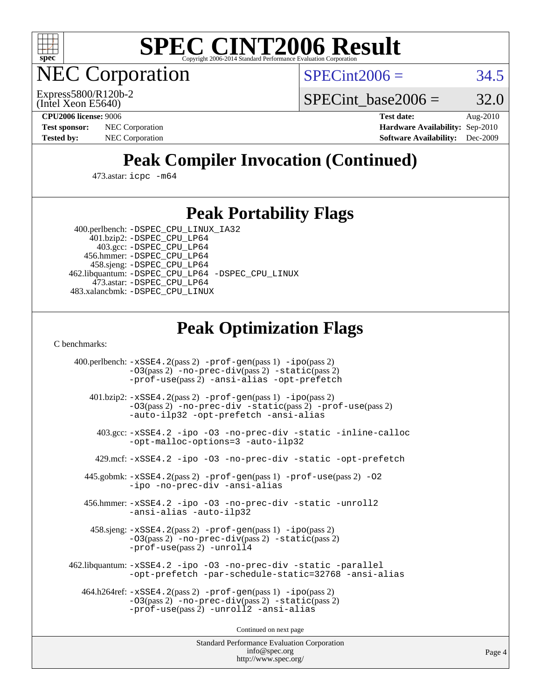

**EC Corporation** 

 $SPECint2006 = 34.5$  $SPECint2006 = 34.5$ 

(Intel Xeon E5640) Express5800/R120b-2 SPECint base2006 =  $32.0$ 

**[CPU2006 license:](http://www.spec.org/auto/cpu2006/Docs/result-fields.html#CPU2006license)** 9006 **[Test date:](http://www.spec.org/auto/cpu2006/Docs/result-fields.html#Testdate)** Aug-2010 **[Test sponsor:](http://www.spec.org/auto/cpu2006/Docs/result-fields.html#Testsponsor)** NEC Corporation **NEC Corporation [Hardware Availability:](http://www.spec.org/auto/cpu2006/Docs/result-fields.html#HardwareAvailability)** Sep-2010 **[Tested by:](http://www.spec.org/auto/cpu2006/Docs/result-fields.html#Testedby)** NEC Corporation **[Software Availability:](http://www.spec.org/auto/cpu2006/Docs/result-fields.html#SoftwareAvailability)** Dec-2009

# **[Peak Compiler Invocation \(Continued\)](http://www.spec.org/auto/cpu2006/Docs/result-fields.html#PeakCompilerInvocation)**

473.astar: [icpc -m64](http://www.spec.org/cpu2006/results/res2010q3/cpu2006-20100829-13108.flags.html#user_peakCXXLD473_astar_intel_icpc_64bit_fc66a5337ce925472a5c54ad6a0de310)

### **[Peak Portability Flags](http://www.spec.org/auto/cpu2006/Docs/result-fields.html#PeakPortabilityFlags)**

 400.perlbench: [-DSPEC\\_CPU\\_LINUX\\_IA32](http://www.spec.org/cpu2006/results/res2010q3/cpu2006-20100829-13108.flags.html#b400.perlbench_peakCPORTABILITY_DSPEC_CPU_LINUX_IA32) 401.bzip2: [-DSPEC\\_CPU\\_LP64](http://www.spec.org/cpu2006/results/res2010q3/cpu2006-20100829-13108.flags.html#suite_peakPORTABILITY401_bzip2_DSPEC_CPU_LP64)

 403.gcc: [-DSPEC\\_CPU\\_LP64](http://www.spec.org/cpu2006/results/res2010q3/cpu2006-20100829-13108.flags.html#suite_peakPORTABILITY403_gcc_DSPEC_CPU_LP64) 456.hmmer: [-DSPEC\\_CPU\\_LP64](http://www.spec.org/cpu2006/results/res2010q3/cpu2006-20100829-13108.flags.html#suite_peakPORTABILITY456_hmmer_DSPEC_CPU_LP64) 458.sjeng: [-DSPEC\\_CPU\\_LP64](http://www.spec.org/cpu2006/results/res2010q3/cpu2006-20100829-13108.flags.html#suite_peakPORTABILITY458_sjeng_DSPEC_CPU_LP64) 462.libquantum: [-DSPEC\\_CPU\\_LP64](http://www.spec.org/cpu2006/results/res2010q3/cpu2006-20100829-13108.flags.html#suite_peakPORTABILITY462_libquantum_DSPEC_CPU_LP64) [-DSPEC\\_CPU\\_LINUX](http://www.spec.org/cpu2006/results/res2010q3/cpu2006-20100829-13108.flags.html#b462.libquantum_peakCPORTABILITY_DSPEC_CPU_LINUX) 473.astar: [-DSPEC\\_CPU\\_LP64](http://www.spec.org/cpu2006/results/res2010q3/cpu2006-20100829-13108.flags.html#suite_peakPORTABILITY473_astar_DSPEC_CPU_LP64) 483.xalancbmk: [-DSPEC\\_CPU\\_LINUX](http://www.spec.org/cpu2006/results/res2010q3/cpu2006-20100829-13108.flags.html#b483.xalancbmk_peakCXXPORTABILITY_DSPEC_CPU_LINUX)

# **[Peak Optimization Flags](http://www.spec.org/auto/cpu2006/Docs/result-fields.html#PeakOptimizationFlags)**

[C benchmarks](http://www.spec.org/auto/cpu2006/Docs/result-fields.html#Cbenchmarks):

 400.perlbench: [-xSSE4.2](http://www.spec.org/cpu2006/results/res2010q3/cpu2006-20100829-13108.flags.html#user_peakPASS2_CFLAGSPASS2_LDCFLAGS400_perlbench_f-xSSE42_f91528193cf0b216347adb8b939d4107)(pass 2) [-prof-gen](http://www.spec.org/cpu2006/results/res2010q3/cpu2006-20100829-13108.flags.html#user_peakPASS1_CFLAGSPASS1_LDCFLAGS400_perlbench_prof_gen_e43856698f6ca7b7e442dfd80e94a8fc)(pass 1) [-ipo](http://www.spec.org/cpu2006/results/res2010q3/cpu2006-20100829-13108.flags.html#user_peakPASS2_CFLAGSPASS2_LDCFLAGS400_perlbench_f-ipo)(pass 2) [-O3](http://www.spec.org/cpu2006/results/res2010q3/cpu2006-20100829-13108.flags.html#user_peakPASS2_CFLAGSPASS2_LDCFLAGS400_perlbench_f-O3)(pass 2) [-no-prec-div](http://www.spec.org/cpu2006/results/res2010q3/cpu2006-20100829-13108.flags.html#user_peakPASS2_CFLAGSPASS2_LDCFLAGS400_perlbench_f-no-prec-div)(pass 2) [-static](http://www.spec.org/cpu2006/results/res2010q3/cpu2006-20100829-13108.flags.html#user_peakPASS2_CFLAGSPASS2_LDCFLAGS400_perlbench_f-static)(pass 2) [-prof-use](http://www.spec.org/cpu2006/results/res2010q3/cpu2006-20100829-13108.flags.html#user_peakPASS2_CFLAGSPASS2_LDCFLAGS400_perlbench_prof_use_bccf7792157ff70d64e32fe3e1250b55)(pass 2) [-ansi-alias](http://www.spec.org/cpu2006/results/res2010q3/cpu2006-20100829-13108.flags.html#user_peakCOPTIMIZE400_perlbench_f-ansi-alias) [-opt-prefetch](http://www.spec.org/cpu2006/results/res2010q3/cpu2006-20100829-13108.flags.html#user_peakCOPTIMIZE400_perlbench_f-opt-prefetch) 401.bzip2: [-xSSE4.2](http://www.spec.org/cpu2006/results/res2010q3/cpu2006-20100829-13108.flags.html#user_peakPASS2_CFLAGSPASS2_LDCFLAGS401_bzip2_f-xSSE42_f91528193cf0b216347adb8b939d4107)(pass 2) [-prof-gen](http://www.spec.org/cpu2006/results/res2010q3/cpu2006-20100829-13108.flags.html#user_peakPASS1_CFLAGSPASS1_LDCFLAGS401_bzip2_prof_gen_e43856698f6ca7b7e442dfd80e94a8fc)(pass 1) [-ipo](http://www.spec.org/cpu2006/results/res2010q3/cpu2006-20100829-13108.flags.html#user_peakPASS2_CFLAGSPASS2_LDCFLAGS401_bzip2_f-ipo)(pass 2) [-O3](http://www.spec.org/cpu2006/results/res2010q3/cpu2006-20100829-13108.flags.html#user_peakPASS2_CFLAGSPASS2_LDCFLAGS401_bzip2_f-O3)(pass 2) [-no-prec-div](http://www.spec.org/cpu2006/results/res2010q3/cpu2006-20100829-13108.flags.html#user_peakCOPTIMIZEPASS2_CFLAGSPASS2_LDCFLAGS401_bzip2_f-no-prec-div) [-static](http://www.spec.org/cpu2006/results/res2010q3/cpu2006-20100829-13108.flags.html#user_peakPASS2_CFLAGSPASS2_LDCFLAGS401_bzip2_f-static)(pass 2) [-prof-use](http://www.spec.org/cpu2006/results/res2010q3/cpu2006-20100829-13108.flags.html#user_peakPASS2_CFLAGSPASS2_LDCFLAGS401_bzip2_prof_use_bccf7792157ff70d64e32fe3e1250b55)(pass 2) [-auto-ilp32](http://www.spec.org/cpu2006/results/res2010q3/cpu2006-20100829-13108.flags.html#user_peakCOPTIMIZE401_bzip2_f-auto-ilp32) [-opt-prefetch](http://www.spec.org/cpu2006/results/res2010q3/cpu2006-20100829-13108.flags.html#user_peakCOPTIMIZE401_bzip2_f-opt-prefetch) [-ansi-alias](http://www.spec.org/cpu2006/results/res2010q3/cpu2006-20100829-13108.flags.html#user_peakCOPTIMIZE401_bzip2_f-ansi-alias) 403.gcc: [-xSSE4.2](http://www.spec.org/cpu2006/results/res2010q3/cpu2006-20100829-13108.flags.html#user_peakCOPTIMIZE403_gcc_f-xSSE42_f91528193cf0b216347adb8b939d4107) [-ipo](http://www.spec.org/cpu2006/results/res2010q3/cpu2006-20100829-13108.flags.html#user_peakCOPTIMIZE403_gcc_f-ipo) [-O3](http://www.spec.org/cpu2006/results/res2010q3/cpu2006-20100829-13108.flags.html#user_peakCOPTIMIZE403_gcc_f-O3) [-no-prec-div](http://www.spec.org/cpu2006/results/res2010q3/cpu2006-20100829-13108.flags.html#user_peakCOPTIMIZE403_gcc_f-no-prec-div) [-static](http://www.spec.org/cpu2006/results/res2010q3/cpu2006-20100829-13108.flags.html#user_peakCOPTIMIZE403_gcc_f-static) [-inline-calloc](http://www.spec.org/cpu2006/results/res2010q3/cpu2006-20100829-13108.flags.html#user_peakCOPTIMIZE403_gcc_f-inline-calloc) [-opt-malloc-options=3](http://www.spec.org/cpu2006/results/res2010q3/cpu2006-20100829-13108.flags.html#user_peakCOPTIMIZE403_gcc_f-opt-malloc-options_13ab9b803cf986b4ee62f0a5998c2238) [-auto-ilp32](http://www.spec.org/cpu2006/results/res2010q3/cpu2006-20100829-13108.flags.html#user_peakCOPTIMIZE403_gcc_f-auto-ilp32) 429.mcf: [-xSSE4.2](http://www.spec.org/cpu2006/results/res2010q3/cpu2006-20100829-13108.flags.html#user_peakCOPTIMIZE429_mcf_f-xSSE42_f91528193cf0b216347adb8b939d4107) [-ipo](http://www.spec.org/cpu2006/results/res2010q3/cpu2006-20100829-13108.flags.html#user_peakCOPTIMIZE429_mcf_f-ipo) [-O3](http://www.spec.org/cpu2006/results/res2010q3/cpu2006-20100829-13108.flags.html#user_peakCOPTIMIZE429_mcf_f-O3) [-no-prec-div](http://www.spec.org/cpu2006/results/res2010q3/cpu2006-20100829-13108.flags.html#user_peakCOPTIMIZE429_mcf_f-no-prec-div) [-static](http://www.spec.org/cpu2006/results/res2010q3/cpu2006-20100829-13108.flags.html#user_peakCOPTIMIZE429_mcf_f-static) [-opt-prefetch](http://www.spec.org/cpu2006/results/res2010q3/cpu2006-20100829-13108.flags.html#user_peakCOPTIMIZE429_mcf_f-opt-prefetch) 445.gobmk: [-xSSE4.2](http://www.spec.org/cpu2006/results/res2010q3/cpu2006-20100829-13108.flags.html#user_peakPASS2_CFLAGSPASS2_LDCFLAGS445_gobmk_f-xSSE42_f91528193cf0b216347adb8b939d4107)(pass 2) [-prof-gen](http://www.spec.org/cpu2006/results/res2010q3/cpu2006-20100829-13108.flags.html#user_peakPASS1_CFLAGSPASS1_LDCFLAGS445_gobmk_prof_gen_e43856698f6ca7b7e442dfd80e94a8fc)(pass 1) [-prof-use](http://www.spec.org/cpu2006/results/res2010q3/cpu2006-20100829-13108.flags.html#user_peakPASS2_CFLAGSPASS2_LDCFLAGS445_gobmk_prof_use_bccf7792157ff70d64e32fe3e1250b55)(pass 2) [-O2](http://www.spec.org/cpu2006/results/res2010q3/cpu2006-20100829-13108.flags.html#user_peakCOPTIMIZE445_gobmk_f-O2) [-ipo](http://www.spec.org/cpu2006/results/res2010q3/cpu2006-20100829-13108.flags.html#user_peakCOPTIMIZE445_gobmk_f-ipo) [-no-prec-div](http://www.spec.org/cpu2006/results/res2010q3/cpu2006-20100829-13108.flags.html#user_peakCOPTIMIZE445_gobmk_f-no-prec-div) [-ansi-alias](http://www.spec.org/cpu2006/results/res2010q3/cpu2006-20100829-13108.flags.html#user_peakCOPTIMIZE445_gobmk_f-ansi-alias) 456.hmmer: [-xSSE4.2](http://www.spec.org/cpu2006/results/res2010q3/cpu2006-20100829-13108.flags.html#user_peakCOPTIMIZE456_hmmer_f-xSSE42_f91528193cf0b216347adb8b939d4107) [-ipo](http://www.spec.org/cpu2006/results/res2010q3/cpu2006-20100829-13108.flags.html#user_peakCOPTIMIZE456_hmmer_f-ipo) [-O3](http://www.spec.org/cpu2006/results/res2010q3/cpu2006-20100829-13108.flags.html#user_peakCOPTIMIZE456_hmmer_f-O3) [-no-prec-div](http://www.spec.org/cpu2006/results/res2010q3/cpu2006-20100829-13108.flags.html#user_peakCOPTIMIZE456_hmmer_f-no-prec-div) [-static](http://www.spec.org/cpu2006/results/res2010q3/cpu2006-20100829-13108.flags.html#user_peakCOPTIMIZE456_hmmer_f-static) [-unroll2](http://www.spec.org/cpu2006/results/res2010q3/cpu2006-20100829-13108.flags.html#user_peakCOPTIMIZE456_hmmer_f-unroll_784dae83bebfb236979b41d2422d7ec2) [-ansi-alias](http://www.spec.org/cpu2006/results/res2010q3/cpu2006-20100829-13108.flags.html#user_peakCOPTIMIZE456_hmmer_f-ansi-alias) [-auto-ilp32](http://www.spec.org/cpu2006/results/res2010q3/cpu2006-20100829-13108.flags.html#user_peakCOPTIMIZE456_hmmer_f-auto-ilp32) 458.sjeng: [-xSSE4.2](http://www.spec.org/cpu2006/results/res2010q3/cpu2006-20100829-13108.flags.html#user_peakPASS2_CFLAGSPASS2_LDCFLAGS458_sjeng_f-xSSE42_f91528193cf0b216347adb8b939d4107)(pass 2) [-prof-gen](http://www.spec.org/cpu2006/results/res2010q3/cpu2006-20100829-13108.flags.html#user_peakPASS1_CFLAGSPASS1_LDCFLAGS458_sjeng_prof_gen_e43856698f6ca7b7e442dfd80e94a8fc)(pass 1) [-ipo](http://www.spec.org/cpu2006/results/res2010q3/cpu2006-20100829-13108.flags.html#user_peakPASS2_CFLAGSPASS2_LDCFLAGS458_sjeng_f-ipo)(pass 2) [-O3](http://www.spec.org/cpu2006/results/res2010q3/cpu2006-20100829-13108.flags.html#user_peakPASS2_CFLAGSPASS2_LDCFLAGS458_sjeng_f-O3)(pass 2) [-no-prec-div](http://www.spec.org/cpu2006/results/res2010q3/cpu2006-20100829-13108.flags.html#user_peakPASS2_CFLAGSPASS2_LDCFLAGS458_sjeng_f-no-prec-div)(pass 2) [-static](http://www.spec.org/cpu2006/results/res2010q3/cpu2006-20100829-13108.flags.html#user_peakPASS2_CFLAGSPASS2_LDCFLAGS458_sjeng_f-static)(pass 2) [-prof-use](http://www.spec.org/cpu2006/results/res2010q3/cpu2006-20100829-13108.flags.html#user_peakPASS2_CFLAGSPASS2_LDCFLAGS458_sjeng_prof_use_bccf7792157ff70d64e32fe3e1250b55)(pass 2) [-unroll4](http://www.spec.org/cpu2006/results/res2010q3/cpu2006-20100829-13108.flags.html#user_peakCOPTIMIZE458_sjeng_f-unroll_4e5e4ed65b7fd20bdcd365bec371b81f) 462.libquantum: [-xSSE4.2](http://www.spec.org/cpu2006/results/res2010q3/cpu2006-20100829-13108.flags.html#user_peakCOPTIMIZE462_libquantum_f-xSSE42_f91528193cf0b216347adb8b939d4107) [-ipo](http://www.spec.org/cpu2006/results/res2010q3/cpu2006-20100829-13108.flags.html#user_peakCOPTIMIZE462_libquantum_f-ipo) [-O3](http://www.spec.org/cpu2006/results/res2010q3/cpu2006-20100829-13108.flags.html#user_peakCOPTIMIZE462_libquantum_f-O3) [-no-prec-div](http://www.spec.org/cpu2006/results/res2010q3/cpu2006-20100829-13108.flags.html#user_peakCOPTIMIZE462_libquantum_f-no-prec-div) [-static](http://www.spec.org/cpu2006/results/res2010q3/cpu2006-20100829-13108.flags.html#user_peakCOPTIMIZE462_libquantum_f-static) [-parallel](http://www.spec.org/cpu2006/results/res2010q3/cpu2006-20100829-13108.flags.html#user_peakCOPTIMIZE462_libquantum_f-parallel) [-opt-prefetch](http://www.spec.org/cpu2006/results/res2010q3/cpu2006-20100829-13108.flags.html#user_peakCOPTIMIZE462_libquantum_f-opt-prefetch) [-par-schedule-static=32768](http://www.spec.org/cpu2006/results/res2010q3/cpu2006-20100829-13108.flags.html#user_peakCOPTIMIZE462_libquantum_f-par-schedule_9386bcd99ba64e99ee01d1aafefddd14) [-ansi-alias](http://www.spec.org/cpu2006/results/res2010q3/cpu2006-20100829-13108.flags.html#user_peakCOPTIMIZE462_libquantum_f-ansi-alias) 464.h264ref: [-xSSE4.2](http://www.spec.org/cpu2006/results/res2010q3/cpu2006-20100829-13108.flags.html#user_peakPASS2_CFLAGSPASS2_LDCFLAGS464_h264ref_f-xSSE42_f91528193cf0b216347adb8b939d4107)(pass 2) [-prof-gen](http://www.spec.org/cpu2006/results/res2010q3/cpu2006-20100829-13108.flags.html#user_peakPASS1_CFLAGSPASS1_LDCFLAGS464_h264ref_prof_gen_e43856698f6ca7b7e442dfd80e94a8fc)(pass 1) [-ipo](http://www.spec.org/cpu2006/results/res2010q3/cpu2006-20100829-13108.flags.html#user_peakPASS2_CFLAGSPASS2_LDCFLAGS464_h264ref_f-ipo)(pass 2) [-O3](http://www.spec.org/cpu2006/results/res2010q3/cpu2006-20100829-13108.flags.html#user_peakPASS2_CFLAGSPASS2_LDCFLAGS464_h264ref_f-O3)(pass 2) [-no-prec-div](http://www.spec.org/cpu2006/results/res2010q3/cpu2006-20100829-13108.flags.html#user_peakPASS2_CFLAGSPASS2_LDCFLAGS464_h264ref_f-no-prec-div)(pass 2) [-static](http://www.spec.org/cpu2006/results/res2010q3/cpu2006-20100829-13108.flags.html#user_peakPASS2_CFLAGSPASS2_LDCFLAGS464_h264ref_f-static)(pass 2) [-prof-use](http://www.spec.org/cpu2006/results/res2010q3/cpu2006-20100829-13108.flags.html#user_peakPASS2_CFLAGSPASS2_LDCFLAGS464_h264ref_prof_use_bccf7792157ff70d64e32fe3e1250b55)(pass 2) [-unroll2](http://www.spec.org/cpu2006/results/res2010q3/cpu2006-20100829-13108.flags.html#user_peakCOPTIMIZE464_h264ref_f-unroll_784dae83bebfb236979b41d2422d7ec2) [-ansi-alias](http://www.spec.org/cpu2006/results/res2010q3/cpu2006-20100829-13108.flags.html#user_peakCOPTIMIZE464_h264ref_f-ansi-alias)

Continued on next page